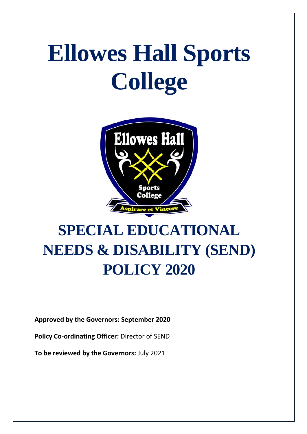# **Ellowes Hall Sports College**



# **SPECIAL EDUCATIONAL NEEDS & DISABILITY (SEND) POLICY 2020**

**Approved by the Governors: September 2020**

**Policy Co-ordinating Officer:** Director of SEND

**To be reviewed by the Governors:** July 2021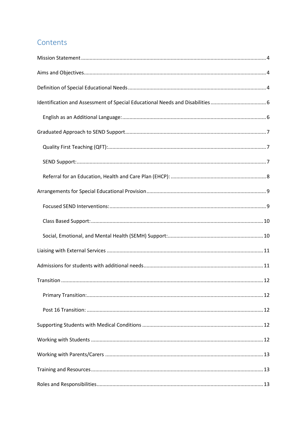# Contents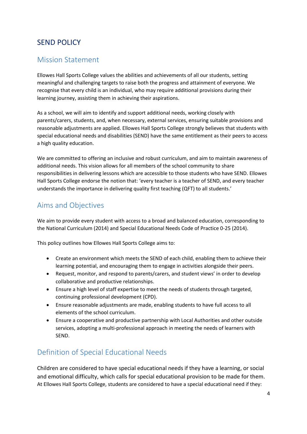### SEND POLICY

#### <span id="page-3-0"></span>Mission Statement

Ellowes Hall Sports College values the abilities and achievements of all our students, setting meaningful and challenging targets to raise both the progress and attainment of everyone. We recognise that every child is an individual, who may require additional provisions during their learning journey, assisting them in achieving their aspirations.

As a school, we will aim to identify and support additional needs, working closely with parents/carers, students, and, when necessary, external services, ensuring suitable provisions and reasonable adjustments are applied. Ellowes Hall Sports College strongly believes that students with special educational needs and disabilities (SEND) have the same entitlement as their peers to access a high quality education.

We are committed to offering an inclusive and robust curriculum, and aim to maintain awareness of additional needs. This vision allows for all members of the school community to share responsibilities in delivering lessons which are accessible to those students who have SEND. Ellowes Hall Sports College endorse the notion that: 'every teacher is a teacher of SEND, and every teacher understands the importance in delivering quality first teaching (QFT) to all students.'

#### <span id="page-3-1"></span>Aims and Objectives

We aim to provide every student with access to a broad and balanced education, corresponding to the National Curriculum (2014) and Special Educational Needs Code of Practice 0-25 (2014).

This policy outlines how Ellowes Hall Sports College aims to:

- Create an environment which meets the SEND of each child, enabling them to achieve their learning potential, and encouraging them to engage in activities alongside their peers.
- Request, monitor, and respond to parents/carers, and student views' in order to develop collaborative and productive relationships.
- Ensure a high level of staff expertise to meet the needs of students through targeted, continuing professional development (CPD).
- Ensure reasonable adjustments are made, enabling students to have full access to all elements of the school curriculum.
- Ensure a cooperative and productive partnership with Local Authorities and other outside services, adopting a multi-professional approach in meeting the needs of learners with SEND.

## <span id="page-3-2"></span>Definition of Special Educational Needs

Children are considered to have special educational needs if they have a learning, or social and emotional difficulty, which calls for special educational provision to be made for them. At Ellowes Hall Sports College, students are considered to have a special educational need if they: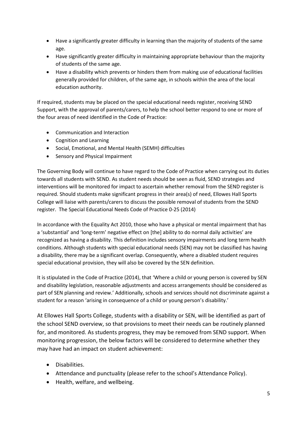- Have a significantly greater difficulty in learning than the majority of students of the same age.
- Have significantly greater difficulty in maintaining appropriate behaviour than the majority of students of the same age.
- Have a disability which prevents or hinders them from making use of educational facilities generally provided for children, of the same age, in schools within the area of the local education authority.

If required, students may be placed on the special educational needs register, receiving SEND Support, with the approval of parents/carers, to help the school better respond to one or more of the four areas of need identified in the Code of Practice:

- Communication and Interaction
- Cognition and Learning
- Social, Emotional, and Mental Health (SEMH) difficulties
- Sensory and Physical Impairment

The Governing Body will continue to have regard to the Code of Practice when carrying out its duties towards all students with SEND. As student needs should be seen as fluid, SEND strategies and interventions will be monitored for impact to ascertain whether removal from the SEND register is required. Should students make significant progress in their area(s) of need, Ellowes Hall Sports College will liaise with parents/carers to discuss the possible removal of students from the SEND register. The Special Educational Needs Code of Practice 0-25 (2014)

In accordance with the Equality Act 2010, those who have a physical or mental impairment that has a 'substantial' and 'long-term' negative effect on [the] ability to do normal daily activities' are recognized as having a disability. This definition includes sensory impairments and long term health conditions. Although students with special educational needs (SEN) may not be classified has having a disability, there may be a significant overlap. Consequently, where a disabled student requires special educational provision, they will also be covered by the SEN definition.

It is stipulated in the Code of Practice (2014), that 'Where a child or young person is covered by SEN and disability legislation, reasonable adjustments and access arrangements should be considered as part of SEN planning and review.' Additionally, schools and services should not discriminate against a student for a reason 'arising in consequence of a child or young person's disability.'

At Ellowes Hall Sports College, students with a disability or SEN, will be identified as part of the school SEND overview, so that provisions to meet their needs can be routinely planned for, and monitored. As students progress, they may be removed from SEND support. When monitoring progression, the below factors will be considered to determine whether they may have had an impact on student achievement:

- Disabilities.
- Attendance and punctuality (please refer to the school's Attendance Policy).
- Health, welfare, and wellbeing.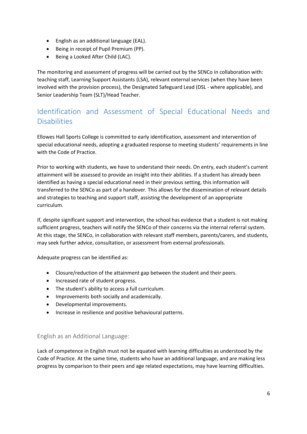- English as an additional language (EAL).
- Being in receipt of Pupil Premium (PP).
- Being a Looked After Child (LAC).

The monitoring and assessment of progress will be carried out by the SENCo in collaboration with: teaching staff, Learning Support Assistants (LSA), relevant external services (when they have been involved with the provision process), the Designated Safeguard Lead (DSL - where applicable), and Senior Leadership Team (SLT)/Head Teacher.

# <span id="page-5-0"></span>Identification and Assessment of Special Educational Needs and **Disabilities**

Ellowes Hall Sports College is committed to early identification, assessment and intervention of special educational needs, adopting a graduated response to meeting students' requirements in line with the Code of Practice.

Prior to working with students, we have to understand their needs. On entry, each student's current attainment will be assessed to provide an insight into their abilities. If a student has already been identified as having a special educational need in their previous setting, this information will transferred to the SENCo as part of a handover. This allows for the dissemination of relevant details and strategies to teaching and support staff, assisting the development of an appropriate curriculum.

If, despite significant support and intervention, the school has evidence that a student is not making sufficient progress, teachers will notify the SENCo of their concerns via the internal referral system. At this stage, the SENCo, in collaboration with relevant staff members, parents/carers, and students, may seek further advice, consultation, or assessment from external professionals.

Adequate progress can be identified as:

- Closure/reduction of the attainment gap between the student and their peers.
- Increased rate of student progress.
- The student's ability to access a full curriculum.
- Improvements both socially and academically.
- Developmental improvements.
- Increase in resilience and positive behavioural patterns.

#### <span id="page-5-1"></span>English as an Additional Language:

Lack of competence in English must not be equated with learning difficulties as understood by the Code of Practice. At the same time, students who have an additional language, and are making less progress by comparison to their peers and age related expectations, may have learning difficulties.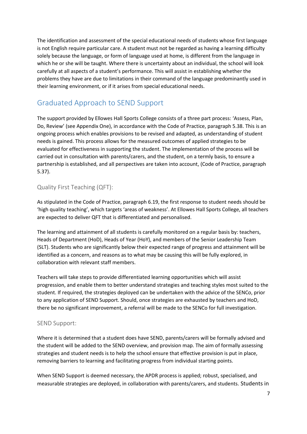The identification and assessment of the special educational needs of students whose first language is not English require particular care. A student must not be regarded as having a learning difficulty solely because the language, or form of language used at home, is different from the language in which he or she will be taught. Where there is uncertainty about an individual, the school will look carefully at all aspects of a student's performance. This will assist in establishing whether the problems they have are due to limitations in their command of the language predominantly used in their learning environment, or if it arises from special educational needs.

# <span id="page-6-0"></span>Graduated Approach to SEND Support

The support provided by Ellowes Hall Sports College consists of a three part process: 'Assess, Plan, Do, Review' (see Appendix One), in accordance with the Code of Practice, paragraph 5.38. This is an ongoing process which enables provisions to be revised and adapted, as understanding of student needs is gained. This process allows for the measured outcomes of applied strategies to be evaluated for effectiveness in supporting the student. The implementation of the process will be carried out in consultation with parents/carers, and the student, on a termly basis, to ensure a partnership is established, and all perspectives are taken into account, (Code of Practice, paragraph 5.37).

#### <span id="page-6-1"></span>Quality First Teaching (QFT):

As stipulated in the Code of Practice, paragraph 6.19, the first response to student needs should be 'high quality teaching', which targets 'areas of weakness'. At Ellowes Hall Sports College, all teachers are expected to deliver QFT that is differentiated and personalised.

The learning and attainment of all students is carefully monitored on a regular basis by: teachers, Heads of Department (HoD), Heads of Year (HoY), and members of the Senior Leadership Team (SLT). Students who are significantly below their expected range of progress and attainment will be identified as a concern, and reasons as to what may be causing this will be fully explored, in collaboration with relevant staff members.

Teachers will take steps to provide differentiated learning opportunities which will assist progression, and enable them to better understand strategies and teaching styles most suited to the student. If required, the strategies deployed can be undertaken with the advice of the SENCo, prior to any application of SEND Support. Should, once strategies are exhausted by teachers and HoD, there be no significant improvement, a referral will be made to the SENCo for full investigation.

#### <span id="page-6-2"></span>SEND Support:

Where it is determined that a student does have SEND, parents/carers will be formally advised and the student will be added to the SEND overview, and provision map. The aim of formally assessing strategies and student needs is to help the school ensure that effective provision is put in place, removing barriers to learning and facilitating progress from individual starting points.

When SEND Support is deemed necessary, the APDR process is applied; robust, specialised, and measurable strategies are deployed, in collaboration with parents/carers, and students. Students in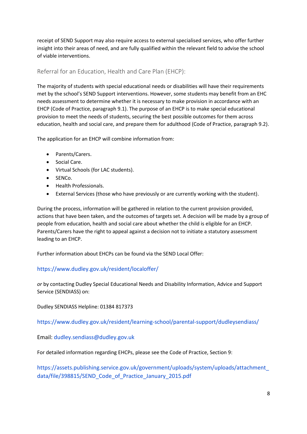receipt of SEND Support may also require access to external specialised services, who offer further insight into their areas of need, and are fully qualified within the relevant field to advise the school of viable interventions.

#### <span id="page-7-0"></span>Referral for an Education, Health and Care Plan (EHCP):

The majority of students with special educational needs or disabilities will have their requirements met by the school's SEND Support interventions. However, some students may benefit from an EHC needs assessment to determine whether it is necessary to make provision in accordance with an EHCP (Code of Practice, paragraph 9.1). The purpose of an EHCP is to make special educational provision to meet the needs of students, securing the best possible outcomes for them across education, health and social care, and prepare them for adulthood (Code of Practice, paragraph 9.2).

The application for an EHCP will combine information from:

- Parents/Carers.
- Social Care.
- Virtual Schools (for LAC students).
- SENCo.
- Health Professionals.
- External Services (those who have previously or are currently working with the student).

During the process, information will be gathered in relation to the current provision provided, actions that have been taken, and the outcomes of targets set. A decision will be made by a group of people from education, health and social care about whether the child is eligible for an EHCP. Parents/Carers have the right to appeal against a decision not to initiate a statutory assessment leading to an EHCP.

Further information about EHCPs can be found via the SEND Local Offer:

#### <https://www.dudley.gov.uk/resident/localoffer/>

*or* by contacting Dudley Special Educational Needs and Disability Information, Advice and Support Service (SENDIASS) on:

Dudley SENDIASS Helpline: 01384 817373

<https://www.dudley.gov.uk/resident/learning-school/parental-support/dudleysendiass/>

Email: [dudley.sendiass@dudley.gov.uk](mailto:dudley.sendiass@dudley.gov.uk)

For detailed information regarding EHCPs, please see the Code of Practice, Section 9:

[https://assets.publishing.service.gov.uk/government/uploads/system/uploads/attachment\\_](https://assets.publishing.service.gov.uk/government/uploads/system/uploads/attachment_data/file/398815/SEND_Code_of_Practice_January_2015.pdf) data/file/398815/SEND Code of Practice January 2015.pdf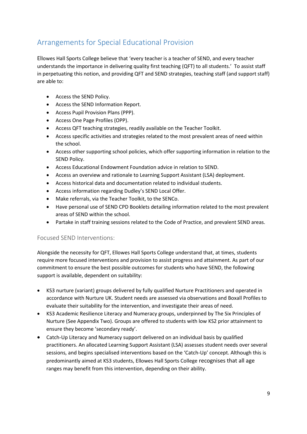# <span id="page-8-0"></span>Arrangements for Special Educational Provision

Ellowes Hall Sports College believe that 'every teacher is a teacher of SEND, and every teacher understands the importance in delivering quality first teaching (QFT) to all students.' To assist staff in perpetuating this notion, and providing QFT and SEND strategies, teaching staff (and support staff) are able to:

- Access the SEND Policy.
- Access the SEND Information Report.
- Access Pupil Provision Plans (PPP).
- Access One Page Profiles (OPP).
- Access QFT teaching strategies, readily available on the Teacher Toolkit.
- Access specific activities and strategies related to the most prevalent areas of need within the school.
- Access other supporting school policies, which offer supporting information in relation to the SEND Policy.
- Access Educational Endowment Foundation advice in relation to SEND.
- Access an overview and rationale to Learning Support Assistant (LSA) deployment.
- Access historical data and documentation related to individual students.
- Access information regarding Dudley's SEND Local Offer.
- Make referrals, via the Teacher Toolkit, to the SENCo.
- Have personal use of SEND CPD Booklets detailing information related to the most prevalent areas of SEND within the school.
- Partake in staff training sessions related to the Code of Practice, and prevalent SEND areas.

#### <span id="page-8-1"></span>Focused SEND Interventions:

Alongside the necessity for QFT, Ellowes Hall Sports College understand that, at times, students require more focused interventions and provision to assist progress and attainment. As part of our commitment to ensure the best possible outcomes for students who have SEND, the following support is available, dependent on suitability:

- KS3 nurture (variant) groups delivered by fully qualified Nurture Practitioners and operated in accordance with Nurture UK. Student needs are assessed via observations and Boxall Profiles to evaluate their suitability for the intervention, and investigate their areas of need.
- KS3 Academic Resilience Literacy and Numeracy groups, underpinned by The Six Principles of Nurture (See Appendix Two). Groups are offered to students with low KS2 prior attainment to ensure they become 'secondary ready'.
- Catch-Up Literacy and Numeracy support delivered on an individual basis by qualified practitioners. An allocated Learning Support Assistant (LSA) assesses student needs over several sessions, and begins specialised interventions based on the 'Catch-Up' concept. Although this is predominantly aimed at KS3 students, Ellowes Hall Sports College recognises that all age ranges may benefit from this intervention, depending on their ability.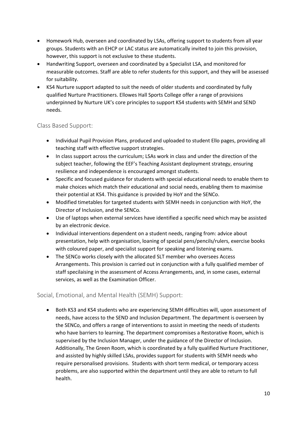- Homework Hub, overseen and coordinated by LSAs, offering support to students from all year groups. Students with an EHCP or LAC status are automatically invited to join this provision, however, this support is not exclusive to these students.
- Handwriting Support, overseen and coordinated by a Specialist LSA, and monitored for measurable outcomes. Staff are able to refer students for this support, and they will be assessed for suitability.
- KS4 Nurture support adapted to suit the needs of older students and coordinated by fully qualified Nurture Practitioners. Ellowes Hall Sports College offer a range of provisions underpinned by Nurture UK's core principles to support KS4 students with SEMH and SEND needs.

#### <span id="page-9-0"></span>Class Based Support:

- Individual Pupil Provision Plans, produced and uploaded to student Ello pages, providing all teaching staff with effective support strategies.
- In class support across the curriculum; LSAs work in class and under the direction of the subject teacher, following the EEF's Teaching Assistant deployment strategy, ensuring resilience and independence is encouraged amongst students.
- Specific and focused guidance for students with special educational needs to enable them to make choices which match their educational and social needs, enabling them to maximise their potential at KS4. This guidance is provided by HoY and the SENCo.
- Modified timetables for targeted students with SEMH needs in conjunction with HoY, the Director of Inclusion, and the SENCo.
- Use of laptops when external services have identified a specific need which may be assisted by an electronic device.
- Individual interventions dependent on a student needs, ranging from: advice about presentation, help with organisation, loaning of special pens/pencils/rulers, exercise books with coloured paper, and specialist support for speaking and listening exams.
- The SENCo works closely with the allocated SLT member who oversees Access Arrangements. This provision is carried out in conjunction with a fully qualified member of staff specilaising in the assessment of Access Arrangements, and, in some cases, external services, as well as the Examination Officer.

#### <span id="page-9-1"></span>Social, Emotional, and Mental Health (SEMH) Support:

• Both KS3 and KS4 students who are experiencing SEMH difficulties will, upon assessment of needs, have access to the SEND and Inclusion Department. The department is overseen by the SENCo, and offers a range of interventions to assist in meeting the needs of students who have barriers to learning. The department compromises a Restorative Room, which is supervised by the Inclusion Manager, under the guidance of the Director of Inclusion. Additionally, The Green Room, which is coordinated by a fully qualified Nurture Practitioner, and assisted by highly skilled LSAs, provides support for students with SEMH needs who require personalised provisions. Students with short term medical, or temporary access problems, are also supported within the department until they are able to return to full health.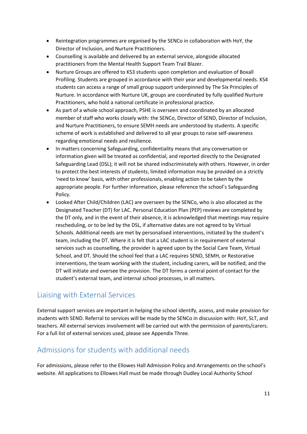- Reintegration programmes are organised by the SENCo in collaboration with HoY, the Director of Inclusion, and Nurture Practitioners.
- Counselling is available and delivered by an external service, alongside allocated practitioners from the Mental Health Support Team Trail Blazer.
- Nurture Groups are offered to KS3 students upon completion and evaluation of Boxall Profiling. Students are grouped in accordance with their year and developmental needs. KS4 students can access a range of small group support underpinned by The Six Principles of Nurture. In accordance with Nurture UK, groups are coordinated by fully qualified Nurture Practitioners, who hold a national certificate in professional practice.
- As part of a whole school approach, PSHE is overseen and coordinated by an allocated member of staff who works closely with: the SENCo, Director of SEND, Director of Inclusion, and Nurture Practitioners, to ensure SEMH needs are understood by students. A specific scheme of work is established and delivered to all year groups to raise self-awareness regarding emotional needs and resilience.
- In matters concerning Safeguarding, confidentiality means that any conversation or information given will be treated as confidential, and reported directly to the Designated Safeguarding Lead (DSL); it will not be shared indiscriminately with others. However, in order to protect the best interests of students, limited information may be provided on a strictly 'need to know' basis, with other professionals, enabling action to be taken by the appropriate people. For further information, please reference the school's Safeguarding Policy.
- Looked After Child/Children (LAC) are overseen by the SENCo, who is also allocated as the Designated Teacher (DT) for LAC. Personal Education Plan (PEP) reviews are completed by the DT only, and in the event of their absence, it is acknowledged that meetings may require rescheduling, or to be led by the DSL, if alternative dates are not agreed to by Virtual Schools. Additional needs are met by personalised interventions, initiated by the student's team, including the DT. Where it is felt that a LAC student is in requirement of external services such as counselling, the provider is agreed upon by the Social Care Team, Virtual School, and DT. Should the school feel that a LAC requires SEND, SEMH, or Restorative interventions, the team working with the student, including carers, will be notified, and the DT will initiate and oversee the provision. The DT forms a central point of contact for the student's external team, and internal school processes, in all matters.

## <span id="page-10-0"></span>Liaising with External Services

External support services are important in helping the school identify, assess, and make provision for students with SEND. Referral to services will be made by the SENCo in discussion with: HoY, SLT, and teachers. All external services involvement will be carried out with the permission of parents/carers. For a full list of external services used, please see Appendix Three.

## <span id="page-10-1"></span>Admissions for students with additional needs

For admissions, please refer to the Ellowes Hall Admission Policy and Arrangements on the school's website. All applications to Ellowes Hall must be made through Dudley Local Authority School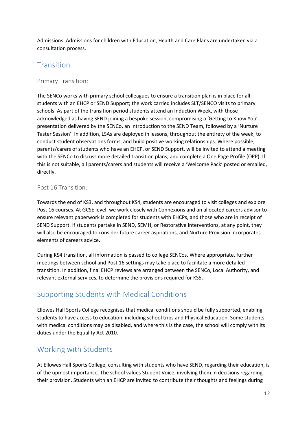Admissions. Admissions for children with Education, Health and Care Plans are undertaken via a consultation process.

#### <span id="page-11-0"></span>**Transition**

#### <span id="page-11-1"></span>Primary Transition:

The SENCo works with primary school colleagues to ensure a transition plan is in place for all students with an EHCP or SEND Support; the work carried includes SLT/SENCO visits to primary schools. As part of the transition period students attend an Induction Week, with those acknowledged as having SEND joining a bespoke session, compromising a 'Getting to Know You' presentation delivered by the SENCo, an introduction to the SEND Team, followed by a 'Nurture Taster Session'. In addition, LSAs are deployed in lessons, throughout the entirety of the week, to conduct student observations forms, and build positive working relationships. Where possible, parents/carers of students who have an EHCP, or SEND Support, will be invited to attend a meeting with the SENCo to discuss more detailed transition plans, and complete a One Page Profile (OPP). If this is not suitable, all parents/carers and students will receive a 'Welcome Pack' posted or emailed, directly.

#### <span id="page-11-2"></span>Post 16 Transition:

Towards the end of KS3, and throughout KS4, students are encouraged to visit colleges and explore Post 16 courses. At GCSE level, we work closely with Connexions and an allocated careers advisor to ensure relevant paperwork is completed for students with EHCPs, and those who are in receipt of SEND Support. If students partake in SEND, SEMH, or Restorative interventions, at any point, they will also be encouraged to consider future career aspirations, and Nurture Provision incorporates elements of careers advice.

During KS4 transition, all information is passed to college SENCos. Where appropriate, further meetings between school and Post 16 settings may take place to facilitate a more detailed transition. In addition, final EHCP reviews are arranged between the SENCo, Local Authority, and relevant external services, to determine the provisions required for KS5.

## <span id="page-11-3"></span>Supporting Students with Medical Conditions

Ellowes Hall Sports College recognises that medical conditions should be fully supported, enabling students to have access to education, including school trips and Physical Education. Some students with medical conditions may be disabled, and where this is the case, the school will comply with its duties under the Equality Act 2010.

#### <span id="page-11-4"></span>Working with Students

At Ellowes Hall Sports College, consulting with students who have SEND, regarding their education, is of the upmost importance. The school values Student Voice, involving them in decisions regarding their provision. Students with an EHCP are invited to contribute their thoughts and feelings during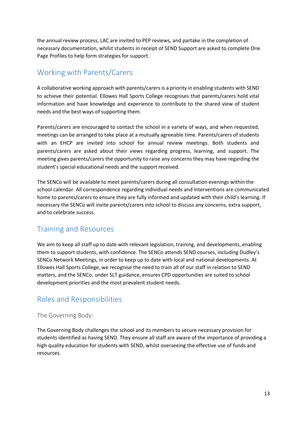the annual review process, LAC are invited to PEP reviews, and partake in the completion of necessary documentation, whilst students in receipt of SEND Support are asked to complete One Page Profiles to help form strategies for support.

# <span id="page-12-0"></span>Working with Parents/Carers

A collaborative working approach with parents/carers is a priority in enabling students with SEND to achieve their potential. Ellowes Hall Sports College recognises that parents/carers hold vital information and have knowledge and experience to contribute to the shared view of student needs and the best ways of supporting them.

Parents/carers are encouraged to contact the school in a variety of ways, and when requested, meetings can be arranged to take place at a mutually agreeable time. Parents/carers of students with an EHCP are invited into school for annual review meetings. Both students and parents/carers are asked about their views regarding progress, learning, and support. The meeting gives parents/carers the opportunity to raise any concerns they may have regarding the student's special educational needs and the support received.

The SENCo will be available to meet parents/carers during all consultation evenings within the school calendar. All correspondence regarding individual needs and interventions are communicated home to parents/carers to ensure they are fully informed and updated with their child's learning. If necessary the SENCo will invite parents/carers into school to discuss any concerns, extra support, and to celebrate success.

## <span id="page-12-1"></span>Training and Resources

We aim to keep all staff up to date with relevant legislation, training, and developments, enabling them to support students, with confidence. The SENCo attends SEND courses, including Dudley's SENCo Network Meetings, in order to keep up to date with local and national developments. At Ellowes Hall Sports College, we recognise the need to train all of our staff in relation to SEND matters, and the SENCo, under SLT guidance, ensures CPD opportunities are suited to school development priorities and the most prevalent student needs.

## <span id="page-12-2"></span>Roles and Responsibilities

#### <span id="page-12-3"></span>The Governing Body:

The Governing Body challenges the school and its members to secure necessary provision for students identified as having SEND. They ensure all staff are aware of the importance of providing a high quality education for students with SEND, whilst overseeing the effective use of funds and resources.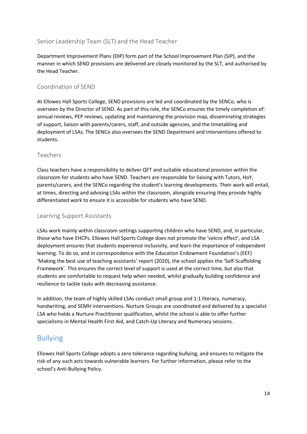#### <span id="page-13-0"></span>Senior Leadership Team (SLT) and the Head Teacher

Department Improvement Plans (DIP) form part of the School Improvement Plan (SIP), and the manner in which SEND provisions are delivered are closely monitored by the SLT, and authorised by the Head Teacher.

#### <span id="page-13-1"></span>Coordination of SEND

At Ellowes Hall Sports College, SEND provisions are led and coordinated by the SENCo, who is overseen by the Director of SEND. As part of this role, the SENCo ensures the timely completion of: annual reviews, PEP reviews, updating and maintaining the provision map, disseminating strategies of support, liaison with parents/carers, staff, and outside agencies, and the timetabling and deployment of LSAs. The SENCo also oversees the SEND Department and interventions offered to students.

#### <span id="page-13-2"></span>Teachers

Class teachers have a responsibility to deliver QFT and suitable educational provision within the classroom for students who have SEND. Teachers are responsible for liaising with Tutors, HoY, parents/carers, and the SENCo regarding the student's learning developments. Their work will entail, at times, directing and advising LSAs within the classroom, alongside ensuring they provide highly differentiated work to ensure it is accessible for students who have SEND.

#### <span id="page-13-3"></span>Learning Support Assistants

LSAs work mainly within classroom settings supporting children who have SEND, and, in particular, those who have EHCPs. Ellowes Hall Sports College does not promote the 'velcro effect', and LSA deployment ensures that students experience inclusivity, and learn the importance of independent learning. To do so, and in correspondence with the Education Endowment Foundation's (EEF) 'Making the best use of teaching assistants' report (2020), the school applies the 'Self-Scaffolding Framework'. This ensures the correct level of support is used at the correct time, but also that students are comfortable to request help when needed, whilst gradually building confidence and resilience to tackle tasks with decreasing assistance.

In addition, the team of highly skilled LSAs conduct small group and 1:1 literacy, numeracy, handwriting, and SEMH interventions. Nurture Groups are coordinated and delivered by a specialist LSA who holds a Nurture Practitioner qualification, whilst the school is able to offer further specialisms in Mental Health First Aid, and Catch-Up Literacy and Numeracy sessions.

#### <span id="page-13-4"></span>Bullying

Ellowes Hall Sports College adopts a zero tolerance regarding bullying, and ensures to mitigate the risk of any such acts towards vulnerable learners. For further information, please refer to the school's Anti-Bullying Policy.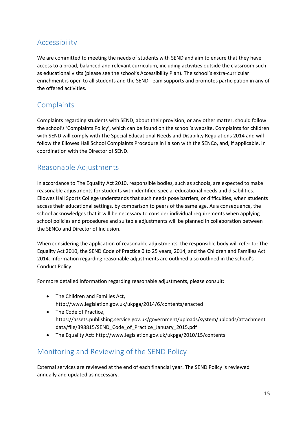# <span id="page-14-0"></span>Accessibility

We are committed to meeting the needs of students with SEND and aim to ensure that they have access to a broad, balanced and relevant curriculum, including activities outside the classroom such as educational visits (please see the school's Accessibility Plan). The school's extra-curricular enrichment is open to all students and the SEND Team supports and promotes participation in any of the offered activities.

## <span id="page-14-1"></span>**Complaints**

Complaints regarding students with SEND, about their provision, or any other matter, should follow the school's 'Complaints Policy', which can be found on the school's website. Complaints for children with SEND will comply with The Special Educational Needs and Disability Regulations 2014 and will follow the Ellowes Hall School Complaints Procedure in liaison with the SENCo, and, if applicable, in coordination with the Director of SEND.

# <span id="page-14-2"></span>Reasonable Adjustments

In accordance to The Equality Act 2010, responsible bodies, such as schools, are expected to make reasonable adjustments for students with identified special educational needs and disabilities. Ellowes Hall Sports College understands that such needs pose barriers, or difficulties, when students access their educational settings, by comparison to peers of the same age. As a consequence, the school acknowledges that it will be necessary to consider individual requirements when applying school policies and procedures and suitable adjustments will be planned in collaboration between the SENCo and Director of Inclusion.

When considering the application of reasonable adjustments, the responsible body will refer to: The Equality Act 2010, the SEND Code of Practice 0 to 25 years, 2014, and the Children and Families Act 2014. Information regarding reasonable adjustments are outlined also outlined in the school's Conduct Policy.

For more detailed information regarding reasonable adjustments, please consult:

- The Children and Families Act, <http://www.legislation.gov.uk/ukpga/2014/6/contents/enacted>
- The Code of Practice, [https://assets.publishing.service.gov.uk/government/uploads/system/uploads/attachment\\_](https://assets.publishing.service.gov.uk/government/uploads/system/uploads/attachment_data/file/398815/SEND_Code_of_Practice_January_2015.pdf) [data/file/398815/SEND\\_Code\\_of\\_Practice\\_January\\_2015.pdf](https://assets.publishing.service.gov.uk/government/uploads/system/uploads/attachment_data/file/398815/SEND_Code_of_Practice_January_2015.pdf)
- The Equality Act[: http://www.legislation.gov.uk/ukpga/2010/15/contents](http://www.legislation.gov.uk/ukpga/2010/15/contents)

## <span id="page-14-3"></span>Monitoring and Reviewing of the SEND Policy

External services are reviewed at the end of each financial year. The SEND Policy is reviewed annually and updated as necessary.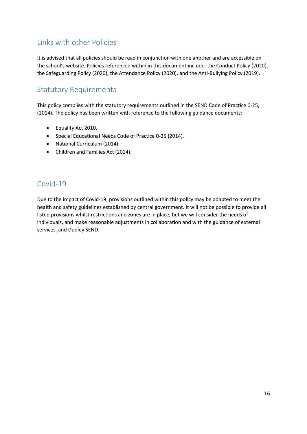# <span id="page-15-0"></span>Links with other Policies

It is advised that all policies should be read in conjunction with one another and are accessible on the school's website. Policies referenced within in this document include: the Conduct Policy (2020), the Safeguarding Policy (2020), the Attendance Policy (2020), and the Anti-Bullying Policy (2019).

# <span id="page-15-1"></span>Statutory Requirements

This policy complies with the statutory requirements outlined in the SEND Code of Practice 0-25, (2014). The policy has been written with reference to the following guidance documents:

- Equality Act 2010.
- Special Educational Needs Code of Practice 0-25 (2014).
- National Curriculum (2014).
- Children and Families Act (2014).

# <span id="page-15-2"></span>Covid-19

Due to the impact of Covid-19, provisions outlined within this policy may be adapted to meet the health and safety guidelines established by central government. It will not be possible to provide all listed provisions whilst restrictions and zones are in place, but we will consider the needs of individuals, and make reasonable adjustments in collaboration and with the guidance of external services, and Dudley SEND.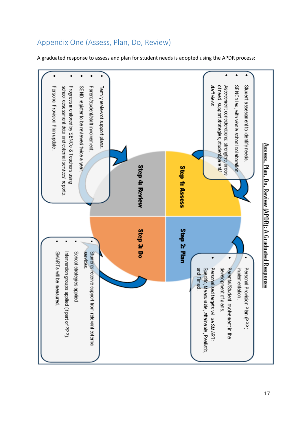

# <span id="page-16-0"></span>Appendix One (Assess, Plan, Do, Review)

A graduated response to assess and plan for student needs is adopted using the APDR process: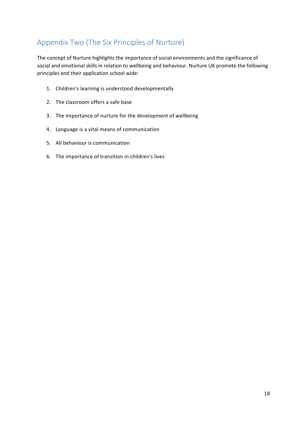# <span id="page-17-0"></span>Appendix Two (The Six Principles of Nurture)

The concept of Nurture highlights the importance of social environments and the significance of social and emotional skills in relation to wellbeing and behaviour. Nurture UK promote the following principles and their application school wide:

- 1. Children's learning is understood developmentally
- 2. The classroom offers a safe base
- 3. The importance of nurture for the development of wellbeing
- 4. Language is a vital means of communication
- 5. All behaviour is communication
- 6. The importance of transition in children's lives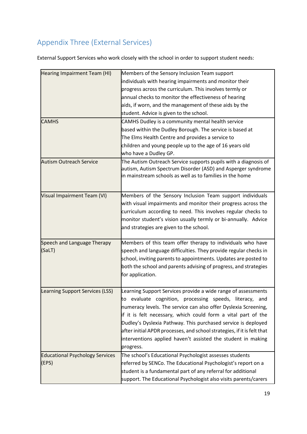# <span id="page-18-0"></span>Appendix Three (External Services)

External Support Services who work closely with the school in order to support student needs:

| Hearing Impairment Team (HI)           | Members of the Sensory Inclusion Team support                                                                                                                                               |
|----------------------------------------|---------------------------------------------------------------------------------------------------------------------------------------------------------------------------------------------|
|                                        | individuals with hearing impairments and monitor their                                                                                                                                      |
|                                        | progress across the curriculum. This involves termly or                                                                                                                                     |
|                                        | annual checks to monitor the effectiveness of hearing                                                                                                                                       |
|                                        | aids, if worn, and the management of these aids by the                                                                                                                                      |
|                                        | student. Advice is given to the school.                                                                                                                                                     |
| <b>CAMHS</b>                           | CAMHS Dudley is a community mental health service                                                                                                                                           |
|                                        | based within the Dudley Borough. The service is based at                                                                                                                                    |
|                                        | The Elms Health Centre and provides a service to                                                                                                                                            |
|                                        | children and young people up to the age of 16 years old                                                                                                                                     |
|                                        | who have a Dudley GP.                                                                                                                                                                       |
| <b>Autism Outreach Service</b>         | The Autism Outreach Service supports pupils with a diagnosis of<br>autism, Autism Spectrum Disorder (ASD) and Asperger syndrome<br>in mainstream schools as well as to families in the home |
| Visual Impairment Team (VI)            | Members of the Sensory Inclusion Team support individuals                                                                                                                                   |
|                                        | with visual impairments and monitor their progress across the                                                                                                                               |
|                                        | curriculum according to need. This involves regular checks to                                                                                                                               |
|                                        | monitor student's vision usually termly or bi-annually. Advice                                                                                                                              |
|                                        | and strategies are given to the school.                                                                                                                                                     |
|                                        | Members of this team offer therapy to individuals who have                                                                                                                                  |
| Speech and Language Therapy<br>(SaLT)  | speech and language difficulties. They provide regular checks in                                                                                                                            |
|                                        | school, inviting parents to appointments. Updates are posted to                                                                                                                             |
|                                        | both the school and parents advising of progress, and strategies                                                                                                                            |
|                                        |                                                                                                                                                                                             |
|                                        | for application.                                                                                                                                                                            |
| Learning Support Services (LSS)        | Learning Support Services provide a wide range of assessments                                                                                                                               |
|                                        | to evaluate cognition, processing speeds, literacy, and                                                                                                                                     |
|                                        | numeracy levels. The service can also offer Dyslexia Screening,                                                                                                                             |
|                                        | if it is felt necessary, which could form a vital part of the                                                                                                                               |
|                                        | Dudley's Dyslexia Pathway. This purchased service is deployed                                                                                                                               |
|                                        | after initial APDR processes, and school strategies, if it is felt that                                                                                                                     |
|                                        | interventions applied haven't assisted the student in making                                                                                                                                |
|                                        | progress.                                                                                                                                                                                   |
| <b>Educational Psychology Services</b> | The school's Educational Psychologist assesses students                                                                                                                                     |
| (EPS)                                  | referred by SENCo. The Educational Psychologist's report on a                                                                                                                               |
|                                        | student is a fundamental part of any referral for additional                                                                                                                                |
|                                        | support. The Educational Psychologist also visits parents/carers                                                                                                                            |
|                                        |                                                                                                                                                                                             |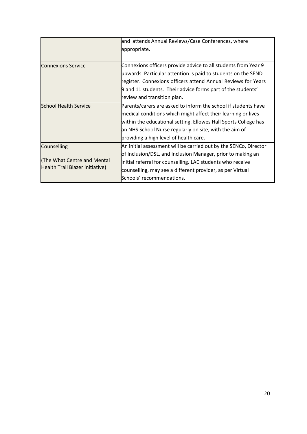|                                                               | and attends Annual Reviews/Case Conferences, where               |
|---------------------------------------------------------------|------------------------------------------------------------------|
|                                                               | appropriate.                                                     |
|                                                               |                                                                  |
| <b>Connexions Service</b>                                     | Connexions officers provide advice to all students from Year 9   |
|                                                               | upwards. Particular attention is paid to students on the SEND    |
|                                                               | register. Connexions officers attend Annual Reviews for Years    |
|                                                               | 9 and 11 students. Their advice forms part of the students'      |
|                                                               | review and transition plan.                                      |
| <b>School Health Service</b>                                  | Parents/carers are asked to inform the school if students have   |
|                                                               | medical conditions which might affect their learning or lives    |
|                                                               | within the educational setting. Ellowes Hall Sports College has  |
|                                                               | an NHS School Nurse regularly on site, with the aim of           |
|                                                               | providing a high level of health care.                           |
| Counselling                                                   | An initial assessment will be carried out by the SENCo, Director |
| The What Centre and Mental<br>Health Trail Blazer initiative) | of Inclusion/DSL, and Inclusion Manager, prior to making an      |
|                                                               | initial referral for counselling. LAC students who receive       |
|                                                               | counselling, may see a different provider, as per Virtual        |
|                                                               | Schools' recommendations.                                        |